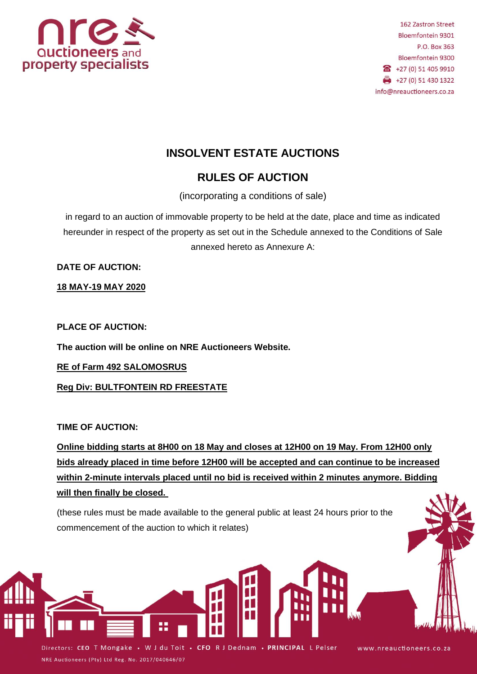

# **INSOLVENT ESTATE AUCTIONS**

## **RULES OF AUCTION**

(incorporating a conditions of sale)

in regard to an auction of immovable property to be held at the date, place and time as indicated hereunder in respect of the property as set out in the Schedule annexed to the Conditions of Sale annexed hereto as Annexure A:

**DATE OF AUCTION:**

**18 MAY-19 MAY 2020**

**PLACE OF AUCTION:**

**The auction will be online on NRE Auctioneers Website.**

**RE of Farm 492 SALOMOSRUS** 

**Reg Div: BULTFONTEIN RD FREESTATE**

## **TIME OF AUCTION:**

**Online bidding starts at 8H00 on 18 May and closes at 12H00 on 19 May. From 12H00 only bids already placed in time before 12H00 will be accepted and can continue to be increased within 2-minute intervals placed until no bid is received within 2 minutes anymore. Bidding will then finally be closed.**

(these rules must be made available to the general public at least 24 hours prior to the commencement of the auction to which it relates)

Directors: CEO T Mongake • W J du Toit • CFO R J Dednam • PRINCIPAL L Pelser NRE Auctioneers (Pty) Ltd Reg. No. 2017/040646/07

www.nreauctioneers.co.za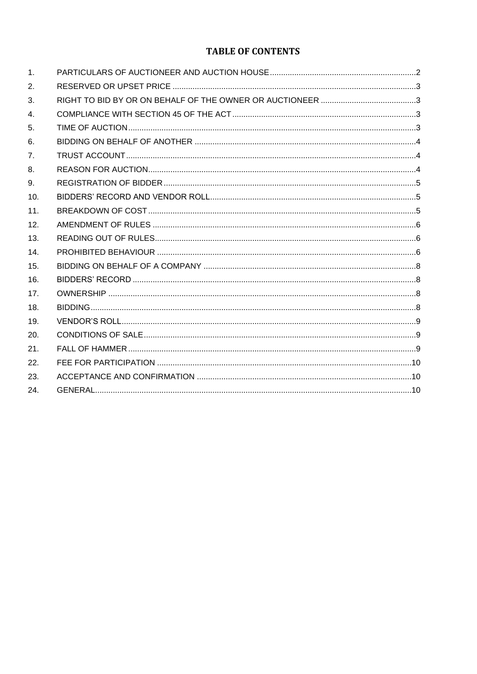## **TABLE OF CONTENTS**

| $\mathbf{1}$ .   |  |
|------------------|--|
| 2.               |  |
| 3.               |  |
| $\overline{4}$ . |  |
| 5.               |  |
| 6.               |  |
| 7 <sub>1</sub>   |  |
| 8.               |  |
| 9.               |  |
| 10.              |  |
| 11.              |  |
| 12.              |  |
| 13.              |  |
| 14.              |  |
| 15.              |  |
| 16.              |  |
| 17.              |  |
| 18.              |  |
| 19.              |  |
| 20.              |  |
| 21.              |  |
| 22.              |  |
| 23.              |  |
| 24.              |  |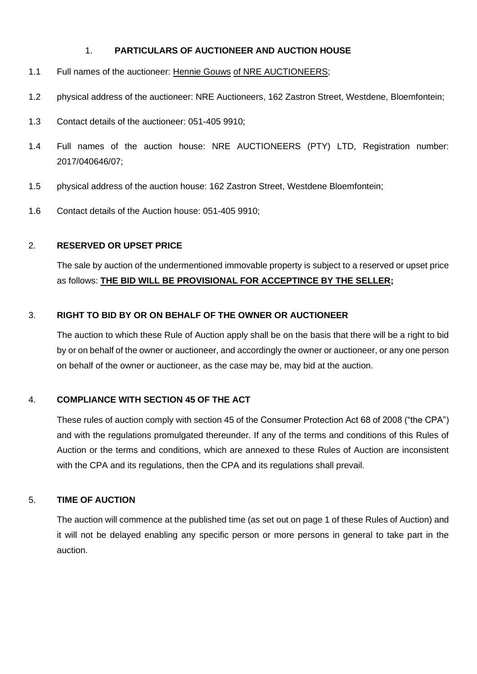## 1. **PARTICULARS OF AUCTIONEER AND AUCTION HOUSE**

- 1.1 Full names of the auctioneer: Hennie Gouws of NRE AUCTIONEERS;
- 1.2 physical address of the auctioneer: NRE Auctioneers, 162 Zastron Street, Westdene, Bloemfontein;
- 1.3 Contact details of the auctioneer: 051-405 9910;
- 1.4 Full names of the auction house: NRE AUCTIONEERS (PTY) LTD, Registration number: 2017/040646/07;
- 1.5 physical address of the auction house: 162 Zastron Street, Westdene Bloemfontein;
- 1.6 Contact details of the Auction house: 051-405 9910;

## 2. **RESERVED OR UPSET PRICE**

The sale by auction of the undermentioned immovable property is subject to a reserved or upset price as follows: **THE BID WILL BE PROVISIONAL FOR ACCEPTINCE BY THE SELLER;**

## 3. **RIGHT TO BID BY OR ON BEHALF OF THE OWNER OR AUCTIONEER**

The auction to which these Rule of Auction apply shall be on the basis that there will be a right to bid by or on behalf of the owner or auctioneer, and accordingly the owner or auctioneer, or any one person on behalf of the owner or auctioneer, as the case may be, may bid at the auction.

## 4. **COMPLIANCE WITH SECTION 45 OF THE ACT**

These rules of auction comply with section 45 of the Consumer Protection Act 68 of 2008 ("the CPA") and with the regulations promulgated thereunder. If any of the terms and conditions of this Rules of Auction or the terms and conditions, which are annexed to these Rules of Auction are inconsistent with the CPA and its regulations, then the CPA and its regulations shall prevail.

## 5. **TIME OF AUCTION**

The auction will commence at the published time (as set out on page 1 of these Rules of Auction) and it will not be delayed enabling any specific person or more persons in general to take part in the auction.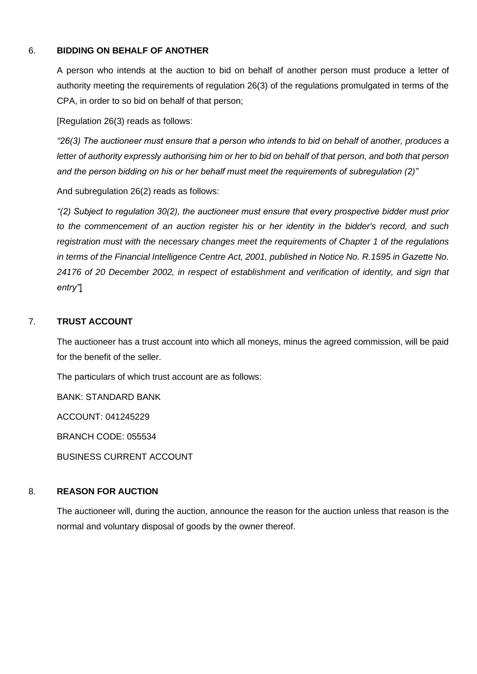## 6. **BIDDING ON BEHALF OF ANOTHER**

A person who intends at the auction to bid on behalf of another person must produce a letter of authority meeting the requirements of regulation 26(3) of the regulations promulgated in terms of the CPA, in order to so bid on behalf of that person;

[Regulation 26(3) reads as follows:

*"26(3) The auctioneer must ensure that a person who intends to bid on behalf of another, produces a letter of authority expressly authorising him or her to bid on behalf of that person, and both that person and the person bidding on his or her behalf must meet the requirements of subregulation (2)"*

And subregulation 26(2) reads as follows:

*"(2) Subject to regulation 30(2), the auctioneer must ensure that every prospective bidder must prior to the commencement of an auction register his or her identity in the bidder's record, and such registration must with the necessary changes meet the requirements of Chapter 1 of the regulations in terms of the Financial Intelligence Centre Act, 2001, published in Notice No. R.1595 in Gazette No. 24176 of 20 December 2002, in respect of establishment and verification of identity, and sign that entry"*]

## 7. **TRUST ACCOUNT**

The auctioneer has a trust account into which all moneys, minus the agreed commission, will be paid for the benefit of the seller.

The particulars of which trust account are as follows:

BANK: STANDARD BANK

ACCOUNT: 041245229

BRANCH CODE: 055534

BUSINESS CURRENT ACCOUNT

## 8. **REASON FOR AUCTION**

The auctioneer will, during the auction, announce the reason for the auction unless that reason is the normal and voluntary disposal of goods by the owner thereof.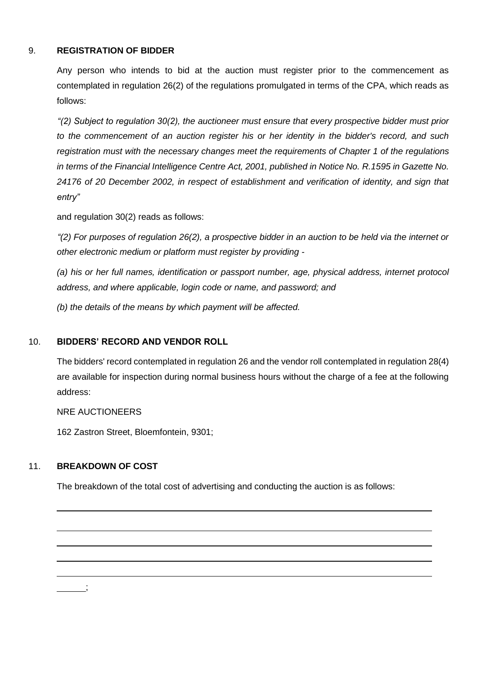## 9. **REGISTRATION OF BIDDER**

Any person who intends to bid at the auction must register prior to the commencement as contemplated in regulation 26(2) of the regulations promulgated in terms of the CPA, which reads as follows:

*"(2) Subject to regulation 30(2), the auctioneer must ensure that every prospective bidder must prior to the commencement of an auction register his or her identity in the bidder's record, and such registration must with the necessary changes meet the requirements of Chapter 1 of the regulations in terms of the Financial Intelligence Centre Act, 2001, published in Notice No. R.1595 in Gazette No. 24176 of 20 December 2002, in respect of establishment and verification of identity, and sign that entry"*

and regulation 30(2) reads as follows:

*"(2) For purposes of regulation 26(2), a prospective bidder in an auction to be held via the internet or other electronic medium or platform must register by providing -*

*(a) his or her full names, identification or passport number, age, physical address, internet protocol address, and where applicable, login code or name, and password; and*

*(b) the details of the means by which payment will be affected.*

## 10. **BIDDERS' RECORD AND VENDOR ROLL**

The bidders' record contemplated in regulation 26 and the vendor roll contemplated in regulation 28(4) are available for inspection during normal business hours without the charge of a fee at the following address:

NRE AUCTIONEERS

162 Zastron Street, Bloemfontein, 9301;

## 11. **BREAKDOWN OF COST**

The breakdown of the total cost of advertising and conducting the auction is as follows:

;

 $\overline{a}$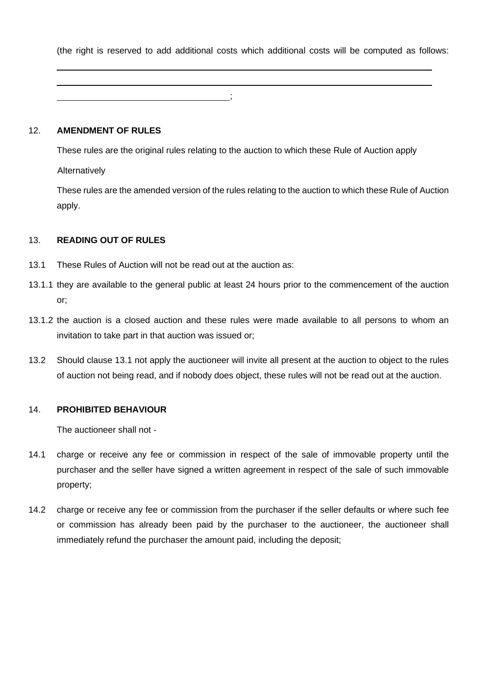(the right is reserved to add additional costs which additional costs will be computed as follows:

#### 12. **AMENDMENT OF RULES**

These rules are the original rules relating to the auction to which these Rule of Auction apply Alternatively

;

These rules are the amended version of the rules relating to the auction to which these Rule of Auction apply.

## 13. **READING OUT OF RULES**

- 13.1 These Rules of Auction will not be read out at the auction as:
- 13.1.1 they are available to the general public at least 24 hours prior to the commencement of the auction or;
- 13.1.2 the auction is a closed auction and these rules were made available to all persons to whom an invitation to take part in that auction was issued or;
- 13.2 Should clause 13.1 not apply the auctioneer will invite all present at the auction to object to the rules of auction not being read, and if nobody does object, these rules will not be read out at the auction.

## 14. **PROHIBITED BEHAVIOUR**

The auctioneer shall not -

- 14.1 charge or receive any fee or commission in respect of the sale of immovable property until the purchaser and the seller have signed a written agreement in respect of the sale of such immovable property;
- 14.2 charge or receive any fee or commission from the purchaser if the seller defaults or where such fee or commission has already been paid by the purchaser to the auctioneer, the auctioneer shall immediately refund the purchaser the amount paid, including the deposit;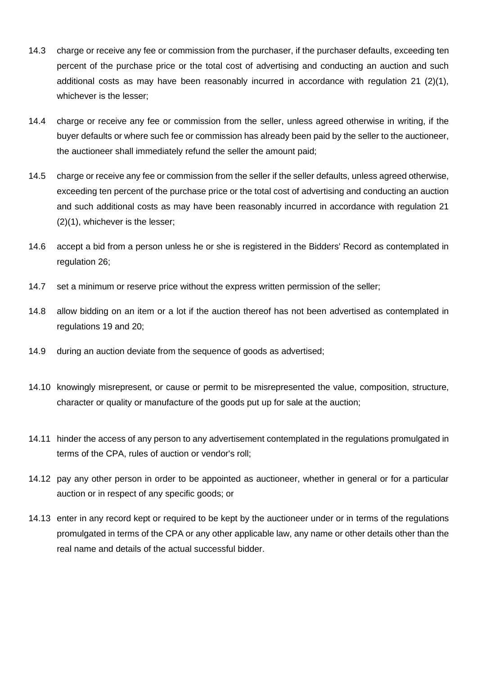- 14.3 charge or receive any fee or commission from the purchaser, if the purchaser defaults, exceeding ten percent of the purchase price or the total cost of advertising and conducting an auction and such additional costs as may have been reasonably incurred in accordance with regulation 21 (2)(1), whichever is the lesser;
- 14.4 charge or receive any fee or commission from the seller, unless agreed otherwise in writing, if the buyer defaults or where such fee or commission has already been paid by the seller to the auctioneer, the auctioneer shall immediately refund the seller the amount paid;
- 14.5 charge or receive any fee or commission from the seller if the seller defaults, unless agreed otherwise, exceeding ten percent of the purchase price or the total cost of advertising and conducting an auction and such additional costs as may have been reasonably incurred in accordance with regulation 21 (2)(1), whichever is the lesser;
- 14.6 accept a bid from a person unless he or she is registered in the Bidders' Record as contemplated in regulation 26;
- 14.7 set a minimum or reserve price without the express written permission of the seller;
- 14.8 allow bidding on an item or a lot if the auction thereof has not been advertised as contemplated in regulations 19 and 20;
- 14.9 during an auction deviate from the sequence of goods as advertised;
- 14.10 knowingly misrepresent, or cause or permit to be misrepresented the value, composition, structure, character or quality or manufacture of the goods put up for sale at the auction;
- 14.11 hinder the access of any person to any advertisement contemplated in the regulations promulgated in terms of the CPA, rules of auction or vendor's roll;
- 14.12 pay any other person in order to be appointed as auctioneer, whether in general or for a particular auction or in respect of any specific goods; or
- 14.13 enter in any record kept or required to be kept by the auctioneer under or in terms of the regulations promulgated in terms of the CPA or any other applicable law, any name or other details other than the real name and details of the actual successful bidder.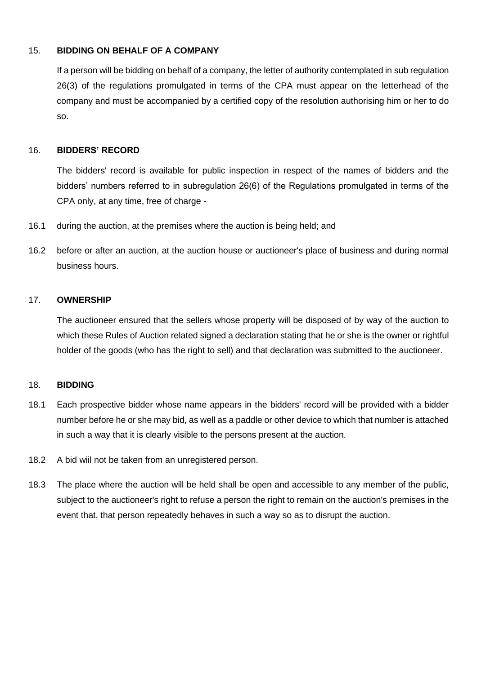## 15. **BIDDING ON BEHALF OF A COMPANY**

If a person will be bidding on behalf of a company, the letter of authority contemplated in sub regulation 26(3) of the regulations promulgated in terms of the CPA must appear on the letterhead of the company and must be accompanied by a certified copy of the resolution authorising him or her to do so.

#### 16. **BIDDERS' RECORD**

The bidders' record is available for public inspection in respect of the names of bidders and the bidders' numbers referred to in subregulation 26(6) of the Regulations promulgated in terms of the CPA only, at any time, free of charge -

- 16.1 during the auction, at the premises where the auction is being held; and
- 16.2 before or after an auction, at the auction house or auctioneer's place of business and during normal business hours.

#### 17. **OWNERSHIP**

The auctioneer ensured that the sellers whose property will be disposed of by way of the auction to which these Rules of Auction related signed a declaration stating that he or she is the owner or rightful holder of the goods (who has the right to sell) and that declaration was submitted to the auctioneer.

#### 18. **BIDDING**

- 18.1 Each prospective bidder whose name appears in the bidders' record will be provided with a bidder number before he or she may bid, as well as a paddle or other device to which that number is attached in such a way that it is clearly visible to the persons present at the auction.
- 18.2 A bid wiil not be taken from an unregistered person.
- 18.3 The place where the auction will be held shall be open and accessible to any member of the public, subject to the auctioneer's right to refuse a person the right to remain on the auction's premises in the event that, that person repeatedly behaves in such a way so as to disrupt the auction.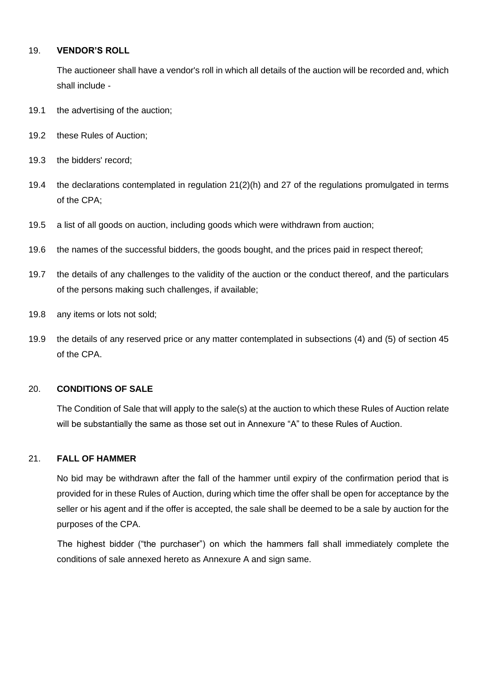#### 19. **VENDOR'S ROLL**

The auctioneer shall have a vendor's roll in which all details of the auction will be recorded and, which shall include -

- 19.1 the advertising of the auction;
- 19.2 these Rules of Auction;
- 19.3 the bidders' record;
- 19.4 the declarations contemplated in regulation 21(2)(h) and 27 of the regulations promulgated in terms of the CPA;
- 19.5 a list of all goods on auction, including goods which were withdrawn from auction;
- 19.6 the names of the successful bidders, the goods bought, and the prices paid in respect thereof;
- 19.7 the details of any challenges to the validity of the auction or the conduct thereof, and the particulars of the persons making such challenges, if available;
- 19.8 any items or lots not sold;
- 19.9 the details of any reserved price or any matter contemplated in subsections (4) and (5) of section 45 of the CPA.

#### 20. **CONDITIONS OF SALE**

The Condition of Sale that will apply to the sale(s) at the auction to which these Rules of Auction relate will be substantially the same as those set out in Annexure "A" to these Rules of Auction.

#### 21. **FALL OF HAMMER**

No bid may be withdrawn after the fall of the hammer until expiry of the confirmation period that is provided for in these Rules of Auction, during which time the offer shall be open for acceptance by the seller or his agent and if the offer is accepted, the sale shall be deemed to be a sale by auction for the purposes of the CPA.

The highest bidder ("the purchaser") on which the hammers fall shall immediately complete the conditions of sale annexed hereto as Annexure A and sign same.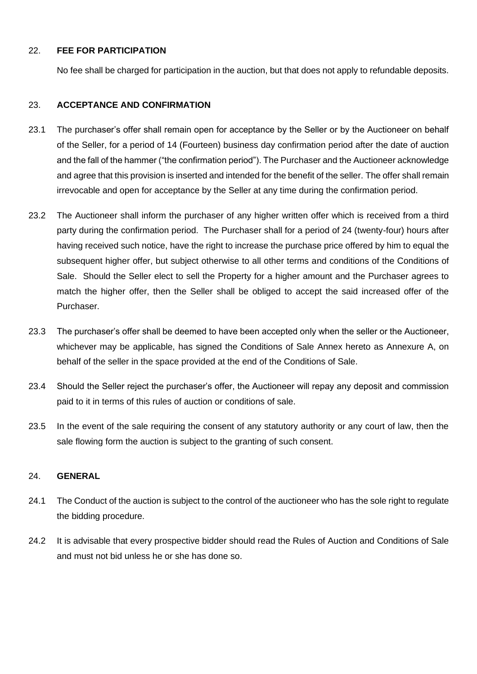## 22. **FEE FOR PARTICIPATION**

No fee shall be charged for participation in the auction, but that does not apply to refundable deposits.

## 23. **ACCEPTANCE AND CONFIRMATION**

- 23.1 The purchaser's offer shall remain open for acceptance by the Seller or by the Auctioneer on behalf of the Seller, for a period of 14 (Fourteen) business day confirmation period after the date of auction and the fall of the hammer ("the confirmation period"). The Purchaser and the Auctioneer acknowledge and agree that this provision is inserted and intended for the benefit of the seller. The offer shall remain irrevocable and open for acceptance by the Seller at any time during the confirmation period.
- 23.2 The Auctioneer shall inform the purchaser of any higher written offer which is received from a third party during the confirmation period. The Purchaser shall for a period of 24 (twenty-four) hours after having received such notice, have the right to increase the purchase price offered by him to equal the subsequent higher offer, but subject otherwise to all other terms and conditions of the Conditions of Sale. Should the Seller elect to sell the Property for a higher amount and the Purchaser agrees to match the higher offer, then the Seller shall be obliged to accept the said increased offer of the Purchaser.
- 23.3 The purchaser's offer shall be deemed to have been accepted only when the seller or the Auctioneer, whichever may be applicable, has signed the Conditions of Sale Annex hereto as Annexure A, on behalf of the seller in the space provided at the end of the Conditions of Sale.
- 23.4 Should the Seller reject the purchaser's offer, the Auctioneer will repay any deposit and commission paid to it in terms of this rules of auction or conditions of sale.
- 23.5 In the event of the sale requiring the consent of any statutory authority or any court of law, then the sale flowing form the auction is subject to the granting of such consent.

## 24. **GENERAL**

- 24.1 The Conduct of the auction is subject to the control of the auctioneer who has the sole right to regulate the bidding procedure.
- 24.2 It is advisable that every prospective bidder should read the Rules of Auction and Conditions of Sale and must not bid unless he or she has done so.